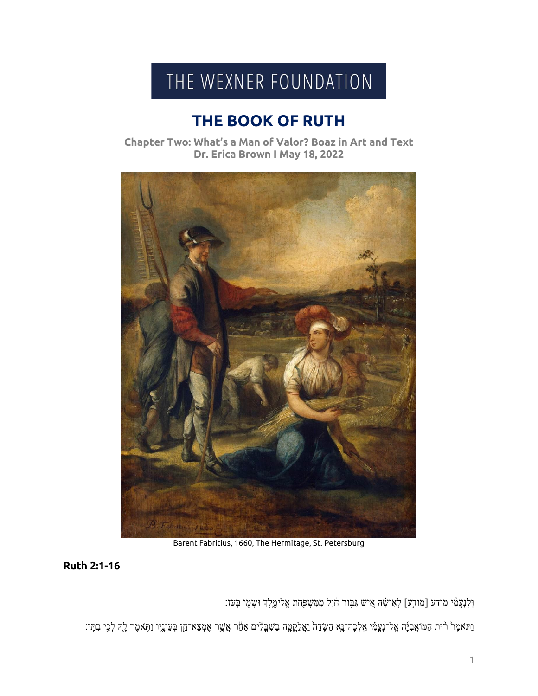## THE WEXNER FOUNDATION

## **THE BOOK OF RUTH**

**Chapter Two: What's a Man of Valor? Boaz in Art and Text Dr. Erica Brown I May 18, 2022**



Barent Fabritius, 1660, The Hermitage, St. Petersburg

**Ruth 2:1-16**

וּ֣לְנָעֲמִ֫י מידע [מֹוֹדֵע] לְאִישָׁׁה אִ֣יֹשׁ גִּבְּוֹר חַ֫יִל מִמִּשְׁפַּחַת אֱלִימֱלֶךְ וּשְׁמַ֣ו בְּעַז׃

וַתּאמֶרْ רֹוּת הַמֹוֹאֲבִיָּה אֱל־נַעֲמִ֫י אֵלְכָה־נֵאָ הַשָּׂדֶה וַאֲלַקֲטָָה בַשִׁבְלִים אַטָּד אֶמֶצָא־חֵן בְּעֵינֵיו וַתְּאמֶר לָהִ לְכִי בִתִּי: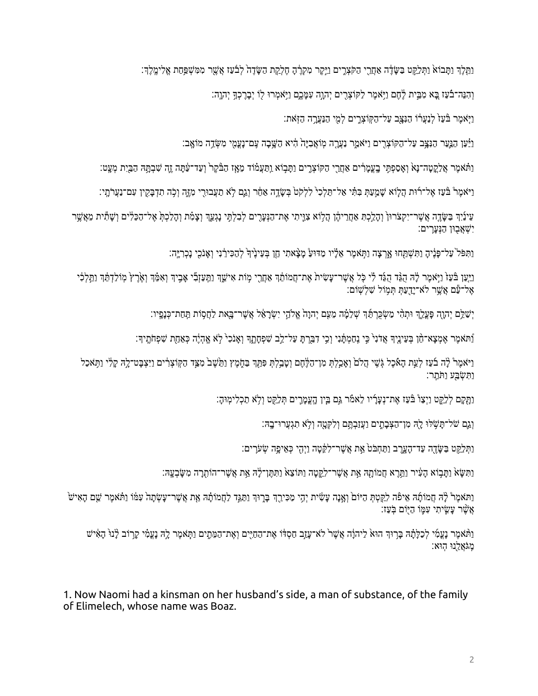וַתְּלֶךְ וַתָּבוֹאֹ וַתְּלֵקֵט בַשָּׂדֶה אַחֲרֵי הַקֹּצְרֶים וַיֵּקֶר מִקְרֶ֫הָ חֶלְקַת הַשָּׂדֶה לְבֹּעַז אֲשֶׁר מִמִּשְׁפַּחַת אֱלִימֱלֶךָ׃

וְהִנֵּה־בֿעַז בֵּא מִבֵּית לֵׂחֶם וַיְּאמֶר לַקוֹצְרֶים יְהוֵה עִמֲכֵם וַיִּאמְרוּ לִוֹ יִבַּרֲכְךָּ יִהְוֶה:

וַיִּאמֶר בּੰעַזֹ לְנַעֲרֹוֹ הַנָּצָב עַל־הַקְוֹצְרֵים לְמִי הַנַּעֲרָה הַזְּאת:

וַיַּּעַר הַנִּצֵּֽב עַל־הַקּוֹצְרִים וַיֹּאמַר נַעֲרָה מְוֹאֲבִיָּה הָיֹא הַשֵּׁבָה עֲם־נַעֲמֶי מִשְׂדֵה מוֹאֵב:

וַתּאמֶר אֲלַקֵטָה־נַּאֹ וְאָסַפְתִּי בָעֲמֲרִים אַחֲרֵי הַקּוֹצְרֵים וַתַּבְוֹא וַתַּעֲמֹוֹד מֵאֲז הַבַּ֫קָר וְעַד־עַׂתַּה חֵנָּ הָבַיִת מְעֵט:

וַיֹּאמֶרْ בַּֿעֵז אֶל־רֹוּת הַלְוֹא שַׁמֵעַתְּ בִּתְּ֫י אַל־תֵּלְכִי לִלְקֹטֹ בִּשָׂדֵה אַחֶר וְגֵם לְא תַעֲבוּרִי מְזֶה וְכָה תִדְבַּקִין עִם־נַעֲרֹתֵי:

עֵינַיִךְ בַשֶּׂדֶה אֲשֶר־יִקְצֹרוּן וְהָלֵכְתָּ אַחֲרֵיהֶן הַלְוֹא צִוֵּיתִי אֶת־הַנְעָרִים לְבִלְתִּי נָגְעֵךְ וְצָמִ֫ת וְהָלַכְתָּ אֶל־הַכֵּלִים וְשָׁתִּית מֵאֲשֶׁר יִשְׁאֲבִוּן הַנְעַרִים:

וַתִּפֹּל עַל־פָּנֵיהָ וַתִּשְׁתַּחוּ אַרְצָה וַתִּאמֵר אֱלָ֫יו מַדּוּעַׂ מַצָּאתִי חֱן בְּעֵינֵיךָ לְהַכִּירֵנִי וְאֶנֹכִי נַכְרְיֵּה׃

ניַעַן בּּעַזْ וַיָּאמֶר לָה הֻגַּד הָגַּד הָגַד לִי כָּל אֲשֶׁר־עָשִׂית אֶת־חֲמוֹתֵ֫ךְ אַחֲרֵי מְוֹת אִישֵׁךְ נִתְעַזְבְי אָבִיךְ וְאִמֵּ֫ךְ וְאָלֵךְץ מְוֹלַדְתֵּ֫ךְ נַתֲלְכִ֫י אֶל־עַם אֲשֱר לֹא־יַדֻעַתְּ תִּמְוֹל שָׁלְשָׁוֹם:

יְשַׁלֵּם יְהוָה פָּעֲלֵךְ וּתְהִ֫י מַשְׂכֵרְתֵּ֫ךְ שְׁלֵמָּה מֵעִם יְהוָהֹ אֱלֹהֵי יִשְׂרַאֵ֫ל אֲשֶׁר־בָּאת לַחֲסָוֹת תַּחַת־כְּנָפְיו:

וַּ תֹּאמֶר אֶמְצַא־הָן בְּעֵיְנֵיִךְ אֲדֹנִי כֵי נֵחַמְתַנִי וְכֵי דָבַּרְתַּ עַל־לֵב שִׁפְחַתָּדְ וְאֲנֹכִי לֹא אֱהָיֶּה כְּאֲחַת שִׁפְחֹתֵיךְ:

וַיֹּאמֶר לַּה בֹעַז לְעֵת הָאָבָל גָּשֵׁי הָלִם (אַבֵּלָה מִן־הַלֶּחֶם וְטַבֵּלְתְּ פִּתְּךָ בַּחָמֶץ וַתֲעֲשָׁב מְצֵד הַקִּוּצְרָ֫ים וַיִּצְבַּט־לֵהְ קַלְי וַתְּאֹכָל וַתְּשָׂבַע וַתִּחָר:

וַתָּקָם לְלֵקֶט וַיְצַוْ בִּּעַז אֶת־נְעָרָיו לֵאמֹר גַּם בֵּיְן הָעֲמָרֵים תְּלֵקֵט וְלָא תַכְלִימְוּהָ:

וְגֵם של־תַּשְׁלוּ לַיָּה מְן־הַצְּבָתֵים וַעֲזַבְתֵּם וְלִקְטָה וְלָא תִגְעֲרוּ־בָהּ׃

וַתְּלֵקֵט בַּשֶּׂדֶה עַד־הָעֲרֵב וַתַּחִבֹּטֹּ אֵת אֲשֶׁר־לִקֶּטָה וַיִּהָי כְּאֵיפָה שָׂעֹרֵים:

וַתְּשָׂאֹ וַתַּבְוֹא הָעִיר וַתֲרֵא חֲמוֹתָה אֵת אֲשֶׁר־לִקֵטָה וַתּוֹצָא´ וַתְּתֵן־לַּהְ אֵת אֲשֶׁר־הוֹתְרַה מִשָּׂבְעֵה:

וַתּאמֶרْ לָ<sup>ּ</sup>ה חֲמוֹתָּה אֵיפֿה לִקַטְתְּ הַיּוֹם וְאָנָה עָשִׂית יְהָי מַכִּירֵךְ בָּרֶוּךְ וַתַּגֵּד לַחֲמוֹתָה אֵת אֲשֶׁר־עָשְׂתָה עִמּׁו וַתּּאמֶר שֵׁם הָאִישׁ אֲשֶׁר עַשֵׂיתִי עָמֵו הַיִּוֹם בִּעֲז:

וַתּּאמֶר נָעֲמִי לְכַלָּתָׁהּ בָּרְוּךְ הוּאֹ לַיהוָה אֲשֶׁר לֹא־עָזָב חַסְדֹּו אֶת־הַחַיִּים וְאֶת־הַמֵּתֵים וַתְּאמֶר לָהּ נָעֲמִ֫י קָרָוֹב לָּנוּ הָאִישׁ מִגֹּאֲלֵנוּ הִוּא:

1. Now Naomi had a kinsman on her husband's side, a man of substance, of the family of Elimelech, whose name was Boaz.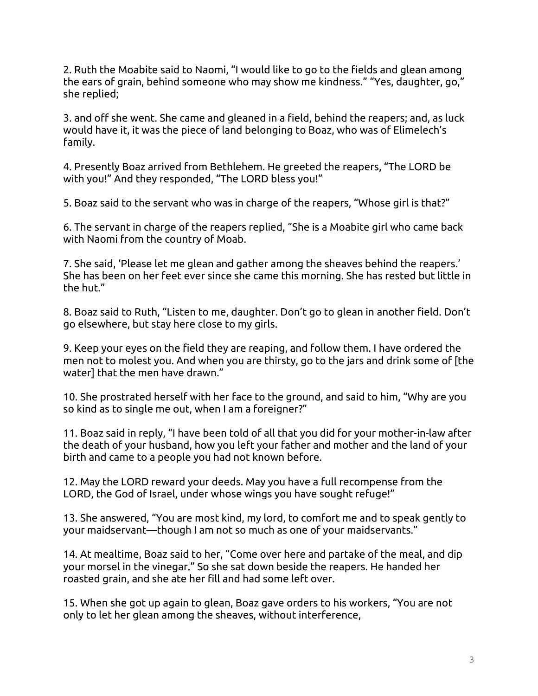2. Ruth the Moabite said to Naomi, "I would like to go to the fields and glean among the ears of grain, behind someone who may show me kindness." "Yes, daughter, go," she replied;

3. and off she went. She came and gleaned in a field, behind the reapers; and, as luck would have it, it was the piece of land belonging to Boaz, who was of Elimelech's family.

4. Presently Boaz arrived from Bethlehem. He greeted the reapers, "The LORD be with you!" And they responded, "The LORD bless you!"

5. Boaz said to the servant who was in charge of the reapers, "Whose girl is that?"

6. The servant in charge of the reapers replied, "She is a Moabite girl who came back with Naomi from the country of Moab.

7. She said, 'Please let me glean and gather among the sheaves behind the reapers.' She has been on her feet ever since she came this morning. She has rested but little in the hut."

8. Boaz said to Ruth, "Listen to me, daughter. Don't go to glean in another field. Don't go elsewhere, but stay here close to my girls.

9. Keep your eyes on the field they are reaping, and follow them. I have ordered the men not to molest you. And when you are thirsty, go to the jars and drink some of [the water] that the men have drawn."

10. She prostrated herself with her face to the ground, and said to him, "Why are you so kind as to single me out, when I am a foreigner?"

11. Boaz said in reply, "I have been told of all that you did for your mother-in-law after the death of your husband, how you left your father and mother and the land of your birth and came to a people you had not known before.

12. May the LORD reward your deeds. May you have a full recompense from the LORD, the God of Israel, under whose wings you have sought refuge!"

13. She answered, "You are most kind, my lord, to comfort me and to speak gently to your maidservant—though I am not so much as one of your maidservants."

14. At mealtime, Boaz said to her, "Come over here and partake of the meal, and dip your morsel in the vinegar." So she sat down beside the reapers. He handed her roasted grain, and she ate her fill and had some left over.

15. When she got up again to glean, Boaz gave orders to his workers, "You are not only to let her glean among the sheaves, without interference,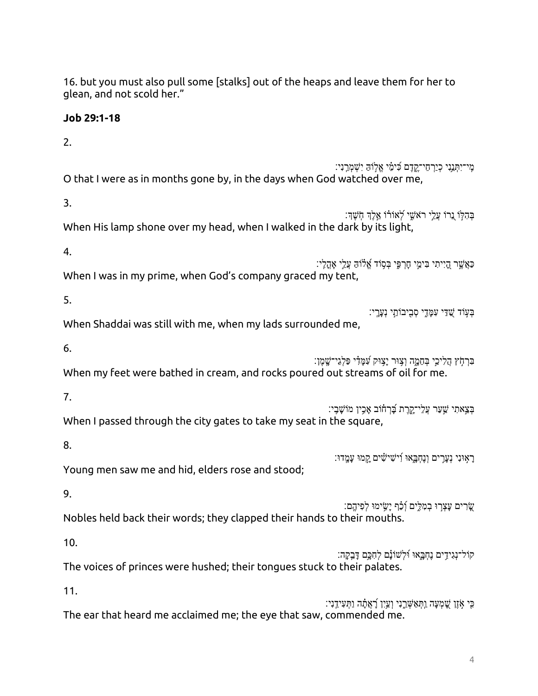16. but you must also pull some [stalks] out of the heaps and leave them for her to glean, and not scold her."

## **Job 29:1-18**

2. ְמִי־יִתְּנֵנִי כְיַרְחֵי־קֶדֶם כִּימֵי אֱלְוֹהַ יִשְׁמְרֵנִי: O that I were as in months gone by, in the days when God watched over me, 3. ּבְּהִלְּוֹ נֵרוֹ עֲלֵי רֹאשֵׁי לְאוֹרוֹ אֵלֶדְ חְשֶׁךָ: When His lamp shone over my head, when I walked in the dark by its light, 4. ּכַאֲשֶר הָיִיתִי בִּימֵי חָרְפֵּי בְּסָוֹד אֱלֹוֹהַ עֲלֵי אָהֲלִי: When I was in my prime, when God's company graced my tent, 5. ּבְעָוֹד שֻׁדַּי עִמָּדֶי סְבָיבוֹתַי נְעָרֶי: When Shaddai was still with me, when my lads surrounded me, 6. ּ בְּרְחָ֫ץ הֲלִיכֵי בְּחֶמֱה וְצִוּּר יַצְוּק עָׁמֵּ֣דִ֫י פַּלְגֵי־שֱמֶן: When my feet were bathed in cream, and rocks poured out streams of oil for me. 7. ֹבְצֵאתִי שֵׁעַר עֲלֵי־קָרֵת בַּׁרְחָוֹב אֲכָין מוֹשַׁבָי: When I passed through the city gates to take my seat in the square, 8. רַאִוּנִי נְעֲרִים וְנֵחָבְאוּ וְ*יִּשִׁישִׂים קַמוּ* עַמֵּדוּ׃ Young men saw me and hid, elders rose and stood; 9. ְשֵׂרִים עַצְרְוּ בִמְלֵים וְכַ֫ף יַשִׂימוּ לִפִיהֵם: Nobles held back their words; they clapped their hands to their mouths. 10. ֹקוֹל־נְגִידִים נֶחְבֶאוּ וּׁלְשׁוֹנָם לְחִכְָּם דָּבִקְה׃ The voices of princes were hushed; their tongues stuck to their palates. 11. ַּכִּי אָׂזֶן שֶׁמְעָה וַתְּאַשְּׁרֵ֣נִי וְעַיִ֣ן רָׁאֲתָ֔ה וַתְּעִידֵ֣נִי The ear that heard me acclaimed me; the eye that saw, commended me.

4